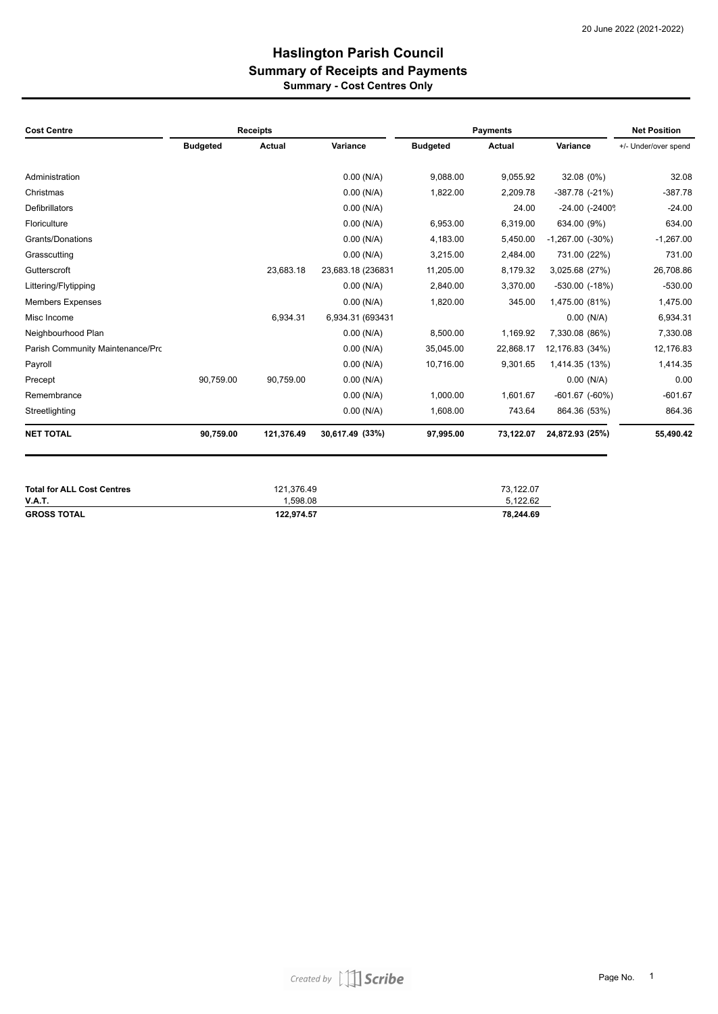### **Haslington Parish Council Summary - Cost Centres Only Summary of Receipts and Payments**

| <b>Cost Centre</b>               | <b>Receipts</b> |               |                   |                 | <b>Payments</b> |                            | <b>Net Position</b>  |  |
|----------------------------------|-----------------|---------------|-------------------|-----------------|-----------------|----------------------------|----------------------|--|
|                                  | <b>Budgeted</b> | <b>Actual</b> | Variance          | <b>Budgeted</b> | Actual          | Variance                   | +/- Under/over spend |  |
| Administration                   |                 |               | $0.00$ (N/A)      | 9,088.00        | 9,055.92        | 32.08 (0%)                 | 32.08                |  |
| Christmas                        |                 |               | $0.00$ (N/A)      | 1,822.00        | 2,209.78        | $-387.78$ $(-21%)$         | $-387.78$            |  |
| <b>Defibrillators</b>            |                 |               | $0.00$ (N/A)      |                 | 24.00           | $-24.00$ $(-2400^{\circ})$ | $-24.00$             |  |
| Floriculture                     |                 |               | $0.00$ (N/A)      | 6,953.00        | 6,319.00        | 634.00 (9%)                | 634.00               |  |
| Grants/Donations                 |                 |               | $0.00$ (N/A)      | 4,183.00        | 5,450.00        | $-1,267.00$ $(-30\%)$      | $-1,267.00$          |  |
| Grasscutting                     |                 |               | $0.00$ (N/A)      | 3,215.00        | 2,484.00        | 731.00 (22%)               | 731.00               |  |
| Gutterscroft                     |                 | 23.683.18     | 23,683.18 (236831 | 11,205.00       | 8,179.32        | 3,025.68 (27%)             | 26,708.86            |  |
| Littering/Flytipping             |                 |               | $0.00$ (N/A)      | 2,840.00        | 3,370.00        | $-530.00$ $(-18%)$         | $-530.00$            |  |
| <b>Members Expenses</b>          |                 |               | $0.00$ (N/A)      | 1,820.00        | 345.00          | 1,475.00 (81%)             | 1,475.00             |  |
| Misc Income                      |                 | 6.934.31      | 6,934.31 (693431  |                 |                 | $0.00$ (N/A)               | 6,934.31             |  |
| Neighbourhood Plan               |                 |               | $0.00$ (N/A)      | 8,500.00        | 1,169.92        | 7,330.08 (86%)             | 7,330.08             |  |
| Parish Community Maintenance/Prc |                 |               | $0.00$ (N/A)      | 35,045.00       | 22,868.17       | 12,176.83 (34%)            | 12,176.83            |  |
| Payroll                          |                 |               | $0.00$ (N/A)      | 10,716.00       | 9,301.65        | 1,414.35 (13%)             | 1,414.35             |  |
| Precept                          | 90,759.00       | 90.759.00     | $0.00$ (N/A)      |                 |                 | $0.00$ (N/A)               | 0.00                 |  |
| Remembrance                      |                 |               | $0.00$ (N/A)      | 1,000.00        | 1.601.67        | $-601.67$ $(-60\%)$        | $-601.67$            |  |
| Streetlighting                   |                 |               | $0.00$ (N/A)      | 1,608.00        | 743.64          | 864.36 (53%)               | 864.36               |  |
| <b>NET TOTAL</b>                 | 90,759.00       | 121,376.49    | 30,617.49 (33%)   | 97,995.00       | 73,122.07       | 24,872.93 (25%)            | 55,490.42            |  |

| <b>Total for ALL Cost Centres</b> | 121.376.49 | 73.122.07 |
|-----------------------------------|------------|-----------|
| <b>V.A.T.</b>                     | 1.598.08   | 5.122.62  |
| <b>GROSS TOTAL</b>                | 122.974.57 | 78.244.69 |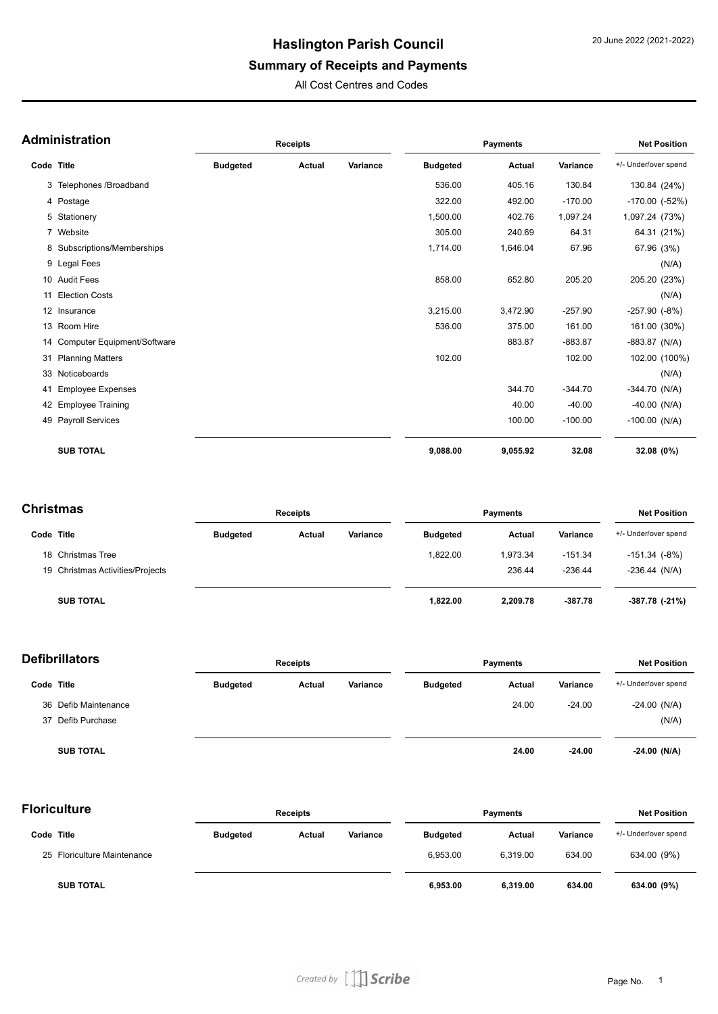## **Summary of Receipts and Payments**

All Cost Centres and Codes

|            | <b>Administration</b>          |                 | <b>Receipts</b> |          |                 | <b>Payments</b> |           |                      |               |
|------------|--------------------------------|-----------------|-----------------|----------|-----------------|-----------------|-----------|----------------------|---------------|
| Code Title |                                | <b>Budgeted</b> | <b>Actual</b>   | Variance | <b>Budgeted</b> | Actual          | Variance  | +/- Under/over spend |               |
|            | 3 Telephones / Broadband       |                 |                 |          | 536.00          | 405.16          | 130.84    | 130.84 (24%)         |               |
|            | 4 Postage                      |                 |                 |          | 322.00          | 492.00          | $-170.00$ | $-170.00$ $(-52%)$   |               |
|            | 5 Stationery                   |                 |                 |          | 1,500.00        | 402.76          | 1,097.24  | 1,097.24 (73%)       |               |
|            | 7 Website                      |                 |                 |          | 305.00          | 240.69          | 64.31     |                      | 64.31 (21%)   |
|            | 8 Subscriptions/Memberships    |                 |                 |          | 1,714.00        | 1,646.04        | 67.96     | 67.96 (3%)           |               |
|            | 9 Legal Fees                   |                 |                 |          |                 |                 |           |                      | (N/A)         |
|            | 10 Audit Fees                  |                 |                 |          | 858.00          | 652.80          | 205.20    | 205.20 (23%)         |               |
| 11         | <b>Election Costs</b>          |                 |                 |          |                 |                 |           |                      | (N/A)         |
|            | 12 Insurance                   |                 |                 |          | 3,215.00        | 3,472.90        | $-257.90$ | $-257.90$ $(-8%)$    |               |
|            | 13 Room Hire                   |                 |                 |          | 536.00          | 375.00          | 161.00    | 161.00 (30%)         |               |
|            | 14 Computer Equipment/Software |                 |                 |          |                 | 883.87          | $-883.87$ | $-883.87$ (N/A)      |               |
| 31         | <b>Planning Matters</b>        |                 |                 |          | 102.00          |                 | 102.00    |                      | 102.00 (100%) |
|            | 33 Noticeboards                |                 |                 |          |                 |                 |           |                      | (N/A)         |
| 41         | <b>Employee Expenses</b>       |                 |                 |          |                 | 344.70          | $-344.70$ | $-344.70$ (N/A)      |               |
|            | 42 Employee Training           |                 |                 |          |                 | 40.00           | $-40.00$  | $-40.00$ (N/A)       |               |
|            | 49 Payroll Services            |                 |                 |          |                 | 100.00          | $-100.00$ | $-100.00$ (N/A)      |               |
|            | <b>SUB TOTAL</b>               |                 |                 |          | 9,088.00        | 9,055.92        | 32.08     | 32.08 (0%)           |               |

| <b>Christmas</b> |                                  | <b>Receipts</b> |        |          | <b>Payments</b> |          |           | <b>Net Position</b>  |  |
|------------------|----------------------------------|-----------------|--------|----------|-----------------|----------|-----------|----------------------|--|
| Code Title       |                                  | <b>Budgeted</b> | Actual | Variance | <b>Budgeted</b> | Actual   | Variance  | +/- Under/over spend |  |
|                  | 18 Christmas Tree                |                 |        |          | 1,822.00        | 1,973.34 | $-151.34$ | $-151.34$ $(-8%)$    |  |
|                  | 19 Christmas Activities/Projects |                 |        |          |                 | 236.44   | $-236.44$ | $-236.44$ (N/A)      |  |
|                  | <b>SUB TOTAL</b>                 |                 |        |          | 1,822.00        | 2,209.78 | $-387.78$ | -387.78 (-21%)       |  |

| <b>Defibrillators</b> |                      | <b>Receipts</b> |        |          | <b>Payments</b> | <b>Net Position</b> |          |                      |
|-----------------------|----------------------|-----------------|--------|----------|-----------------|---------------------|----------|----------------------|
| Code Title            |                      | <b>Budgeted</b> | Actual | Variance | <b>Budgeted</b> | Actual              | Variance | +/- Under/over spend |
|                       | 36 Defib Maintenance |                 |        |          |                 | 24.00               | $-24.00$ | $-24.00$ (N/A)       |
|                       | 37 Defib Purchase    |                 |        |          |                 |                     |          | (N/A)                |
|                       | <b>SUB TOTAL</b>     |                 |        |          |                 | 24.00               | $-24.00$ | $-24.00$ (N/A)       |

| <b>Floriculture</b>         |                 | <b>Receipts</b> |          |                 | <b>Payments</b> |          |                      |
|-----------------------------|-----------------|-----------------|----------|-----------------|-----------------|----------|----------------------|
| Code Title                  | <b>Budgeted</b> | Actual          | Variance | <b>Budgeted</b> | <b>Actual</b>   | Variance | +/- Under/over spend |
| 25 Floriculture Maintenance |                 |                 |          | 6.953.00        | 6.319.00        | 634.00   | 634.00 (9%)          |
| <b>SUB TOTAL</b>            |                 |                 |          | 6,953.00        | 6.319.00        | 634.00   | 634.00 (9%)          |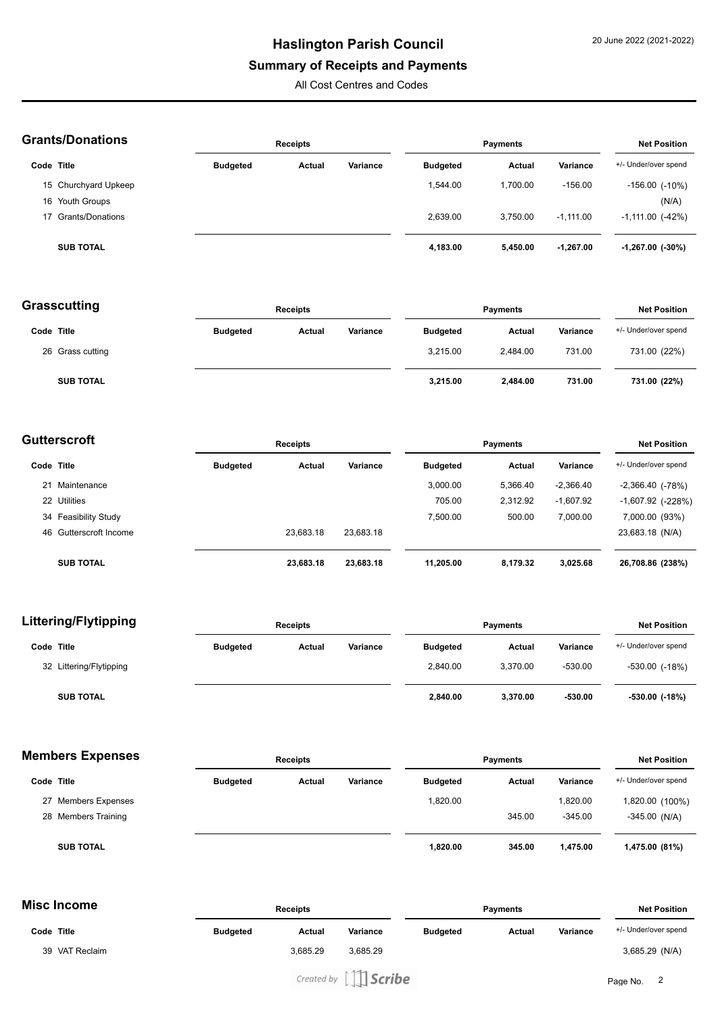#### **Summary of Receipts and Payments**

All Cost Centres and Codes

| <b>Grants/Donations</b> |                      |                 | <b>Receipts</b> |          |                 | <b>Payments</b> |             |                         |  |
|-------------------------|----------------------|-----------------|-----------------|----------|-----------------|-----------------|-------------|-------------------------|--|
| Code Title              |                      | <b>Budgeted</b> | Actual          | Variance | <b>Budgeted</b> | Actual          | Variance    | +/- Under/over spend    |  |
|                         | 15 Churchyard Upkeep |                 |                 |          | 1.544.00        | 1.700.00        | $-156.00$   | $-156.00$ ( $-10\%$ )   |  |
|                         | 16 Youth Groups      |                 |                 |          |                 |                 |             | (N/A)                   |  |
|                         | 17 Grants/Donations  |                 |                 |          | 2.639.00        | 3.750.00        | $-1.111.00$ | $-1,111.00$ ( $-42\%$ ) |  |
|                         | <b>SUB TOTAL</b>     |                 |                 |          | 4,183.00        | 5,450.00        | $-1.267.00$ | $-1,267.00$ ( $-30\%$ ) |  |

| Grasscutting     |                 | <b>Receipts</b> |          |                 | Payments      |          |                      |
|------------------|-----------------|-----------------|----------|-----------------|---------------|----------|----------------------|
| Code Title       | <b>Budgeted</b> | Actual          | Variance | <b>Budgeted</b> | <b>Actual</b> | Variance | +/- Under/over spend |
| 26 Grass cutting |                 |                 |          | 3.215.00        | 2.484.00      | 731.00   | 731.00 (22%)         |
| <b>SUB TOTAL</b> |                 |                 |          | 3,215.00        | 2,484.00      | 731.00   | 731.00 (22%)         |

| Gutterscroft |                        | <b>Receipts</b> |           |           |                 | <b>Net Position</b> |             |                          |
|--------------|------------------------|-----------------|-----------|-----------|-----------------|---------------------|-------------|--------------------------|
| Code Title   |                        | <b>Budgeted</b> | Actual    | Variance  | <b>Budgeted</b> | Actual              | Variance    | +/- Under/over spend     |
| 21           | Maintenance            |                 |           |           | 3.000.00        | 5,366.40            | $-2,366.40$ | $-2,366.40$ ( $-78\%$ )  |
|              | 22 Utilities           |                 |           |           | 705.00          | 2.312.92            | $-1,607.92$ | $-1,607.92$ ( $-228\%$ ) |
|              | 34 Feasibility Study   |                 |           |           | 7.500.00        | 500.00              | 7.000.00    | 7,000.00 (93%)           |
|              | 46 Gutterscroft Income |                 | 23.683.18 | 23.683.18 |                 |                     |             | 23,683.18 (N/A)          |
|              | <b>SUB TOTAL</b>       |                 | 23,683.18 | 23,683.18 | 11,205.00       | 8,179.32            | 3,025.68    | 26,708.86 (238%)         |

| <b>Littering/Flytipping</b> |                 | <b>Receipts</b> |          |                 | <b>Payments</b> |           |                      |  |
|-----------------------------|-----------------|-----------------|----------|-----------------|-----------------|-----------|----------------------|--|
| Code Title                  | <b>Budgeted</b> | Actual          | Variance | <b>Budgeted</b> | Actual          | Variance  | +/- Under/over spend |  |
| 32 Littering/Flytipping     |                 |                 |          | 2.840.00        | 3.370.00        | $-530.00$ | $-530.00$ $(-18%)$   |  |
| <b>SUB TOTAL</b>            |                 |                 |          | 2,840.00        | 3.370.00        | $-530.00$ | -530.00 (-18%)       |  |

#### **Members Expenses**

| <b>Members Expenses</b> | <b>Receipts</b> |        |          | <b>Payments</b> | <b>Net Position</b> |           |                      |
|-------------------------|-----------------|--------|----------|-----------------|---------------------|-----------|----------------------|
| Code Title              | <b>Budgeted</b> | Actual | Variance | <b>Budgeted</b> | Actual              | Variance  | +/- Under/over spend |
| 27 Members Expenses     |                 |        |          | 1,820.00        |                     | 1,820.00  | 1,820.00 (100%)      |
| 28 Members Training     |                 |        |          |                 | 345.00              | $-345.00$ | $-345.00$ (N/A)      |
| <b>SUB TOTAL</b>        |                 |        |          | 1,820.00        | 345.00              | 1.475.00  | 1,475.00 (81%)       |

### **Misc Income**

| שווטטווופ      |                 | <b>Receipts</b> |          |                 | <b>Payments</b> |                 |                      |
|----------------|-----------------|-----------------|----------|-----------------|-----------------|-----------------|----------------------|
| Code Title     | <b>Budgeted</b> | Actual          | Variance | <b>Budgeted</b> | Actual          | <b>Variance</b> | +/- Under/over spend |
| 39 VAT Reclaim |                 | 3.685.29        | 3,685.29 |                 |                 |                 | 3,685.29 (N/A)       |
|                |                 |                 |          |                 |                 |                 |                      |

Created by  $\iiint$  Scribe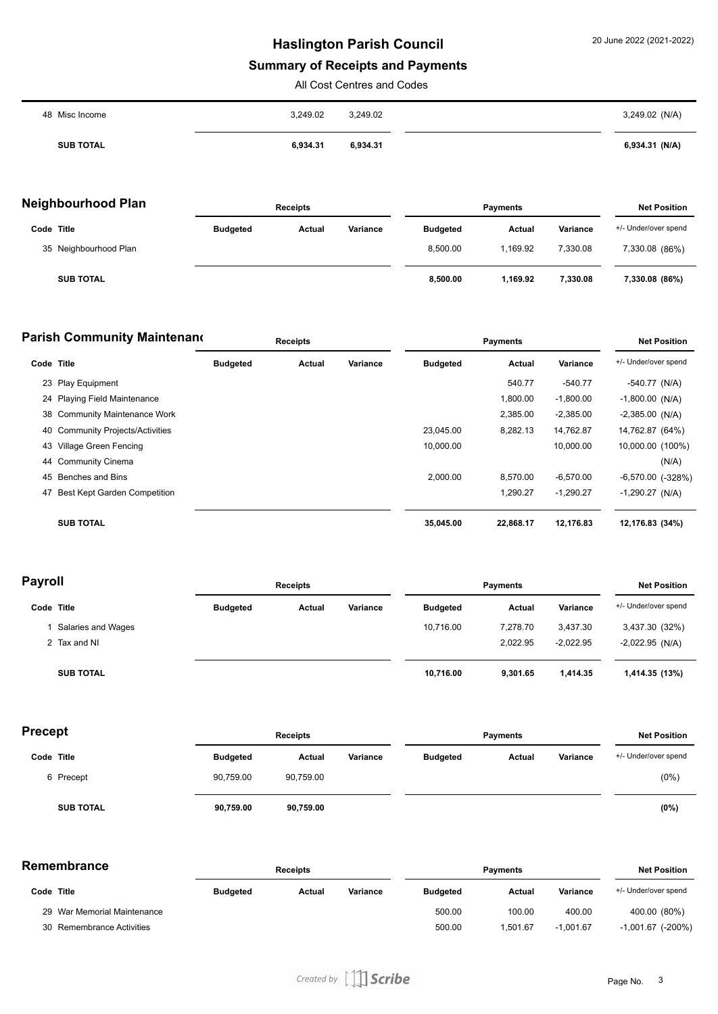## **Summary of Receipts and Payments**

All Cost Centres and Codes

| 48 Misc Income   | 3,249.02 | 3,249.02 | 3,249.02 (N/A) |
|------------------|----------|----------|----------------|
| <b>SUB TOTAL</b> | 6,934.31 | 6,934.31 | 6,934.31 (N/A) |

| Neighbourhood Plan |                       | <b>Receipts</b> |        |          | <b>Payments</b> |               |          | <b>Net Position</b>  |  |
|--------------------|-----------------------|-----------------|--------|----------|-----------------|---------------|----------|----------------------|--|
| Code Title         |                       | <b>Budgeted</b> | Actual | Variance | <b>Budgeted</b> | <b>Actual</b> | Variance | +/- Under/over spend |  |
|                    | 35 Neighbourhood Plan |                 |        |          | 8.500.00        | 1.169.92      | 7.330.08 | 7,330.08 (86%)       |  |
|                    | <b>SUB TOTAL</b>      |                 |        |          | 8,500.00        | 1.169.92      | 7,330.08 | 7,330.08 (86%)       |  |

| <b>Parish Community Maintenand</b> |                                     | <b>Receipts</b> |        |          | <b>Payments</b> |           |             | <b>Net Position</b>   |
|------------------------------------|-------------------------------------|-----------------|--------|----------|-----------------|-----------|-------------|-----------------------|
| Code Title                         |                                     | <b>Budgeted</b> | Actual | Variance | <b>Budgeted</b> | Actual    | Variance    | +/- Under/over spend  |
|                                    | 23 Play Equipment                   |                 |        |          |                 | 540.77    | $-540.77$   | $-540.77$ (N/A)       |
|                                    | 24 Playing Field Maintenance        |                 |        |          |                 | 1,800.00  | $-1,800.00$ | $-1,800.00$ (N/A)     |
|                                    | 38 Community Maintenance Work       |                 |        |          |                 | 2,385.00  | $-2,385.00$ | $-2,385.00$ (N/A)     |
|                                    | 40 Community Projects/Activities    |                 |        |          | 23,045.00       | 8,282.13  | 14,762.87   | 14,762.87 (64%)       |
|                                    | 43 Village Green Fencing            |                 |        |          | 10.000.00       |           | 10.000.00   | 10,000.00 (100%)      |
| 44                                 | <b>Community Cinema</b>             |                 |        |          |                 |           |             | (N/A)                 |
|                                    | 45 Benches and Bins                 |                 |        |          | 2.000.00        | 8.570.00  | $-6,570.00$ | $-6,570.00$ $(-328%)$ |
| 47                                 | <b>Best Kept Garden Competition</b> |                 |        |          |                 | 1,290.27  | $-1,290.27$ | $-1,290.27$ (N/A)     |
|                                    | <b>SUB TOTAL</b>                    |                 |        |          | 35,045.00       | 22,868.17 | 12.176.83   | 12,176.83 (34%)       |

| <b>Payroll</b>     |                 | <b>Receipts</b> |          |                 | <b>Payments</b> |             |                      |
|--------------------|-----------------|-----------------|----------|-----------------|-----------------|-------------|----------------------|
| Code Title         | <b>Budgeted</b> | Actual          | Variance | <b>Budgeted</b> | Actual          | Variance    | +/- Under/over spend |
| Salaries and Wages |                 |                 |          | 10.716.00       | 7.278.70        | 3,437.30    | 3,437.30 (32%)       |
| 2 Tax and NI       |                 |                 |          |                 | 2,022.95        | $-2,022.95$ | $-2,022.95$ (N/A)    |
| <b>SUB TOTAL</b>   |                 |                 |          | 10,716.00       | 9,301.65        | 1.414.35    | 1,414.35 (13%)       |

| Precept          |                 | <b>Receipts</b> |          |                 | <b>Payments</b> |          |                      |
|------------------|-----------------|-----------------|----------|-----------------|-----------------|----------|----------------------|
| Code Title       | <b>Budgeted</b> | Actual          | Variance | <b>Budgeted</b> | <b>Actual</b>   | Variance | +/- Under/over spend |
| 6 Precept        | 90.759.00       | 90,759.00       |          |                 |                 |          | $(0\%)$              |
| <b>SUB TOTAL</b> | 90,759.00       | 90,759.00       |          |                 |                 |          | (0%)                 |

| Remembrance |  |
|-------------|--|
|-------------|--|

| <b>≀emembrance</b> |                             | <b>Receipts</b> |        |          | <b>Payments</b> |          |             | <b>Net Position</b>      |  |
|--------------------|-----------------------------|-----------------|--------|----------|-----------------|----------|-------------|--------------------------|--|
| Code Title         |                             | <b>Budgeted</b> | Actual | Variance | <b>Budgeted</b> | Actual   | Variance    | +/- Under/over spend     |  |
|                    | 29 War Memorial Maintenance |                 |        |          | 500.00          | 100.00   | 400.00      | 400.00 (80%)             |  |
|                    | 30 Remembrance Activities   |                 |        |          | 500.00          | 1.501.67 | $-1.001.67$ | $-1,001.67$ ( $-200\%$ ) |  |